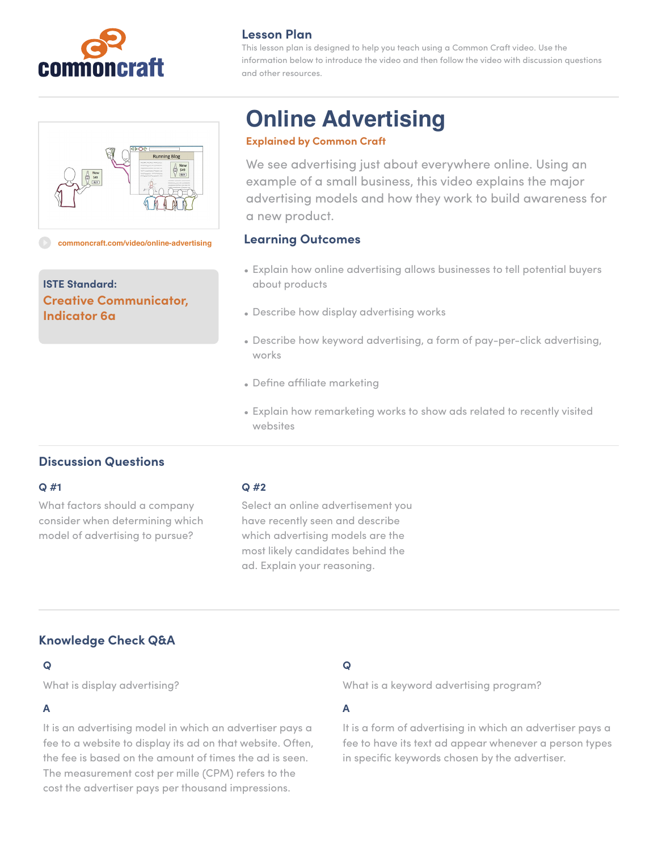

# **Lesson Plan**

This lesson plan is designed to help you teach using a Common Craft video. Use the information below to introduce the video and then follow the video with discussion questions and other resources.



#### **[commoncraft.com/video/online-advertising](http://commoncraft.com/video/online-advertising)**

**ISTE Standard: Creative Communicator, Indicator 6a**

# **Online Advertising**

## **Explained by Common Craft**

We see advertising just about everywhere online. Using an example of a small business, this video explains the major advertising models and how they work to build awareness for a new product.

## **Learning Outcomes**

- Explain how online advertising allows businesses to tell potential buyers about products
- Describe how display advertising works
- Describe how keyword advertising, a form of pay-per-click advertising, works
- Define affiliate marketing
- Explain how remarketing works to show ads related to recently visited websites

# **Discussion Questions**

#### **Q #1**

What factors should a company consider when determining which model of advertising to pursue?

### **Q #2**

Select an online advertisement you have recently seen and describe which advertising models are the most likely candidates behind the ad. Explain your reasoning.

# **Knowledge Check Q&A**

# **Q**

What is display advertising?

# **A**

It is an advertising model in which an advertiser pays a fee to a website to display its ad on that website. Often, the fee is based on the amount of times the ad is seen. The measurement cost per mille (CPM) refers to the cost the advertiser pays per thousand impressions.

# **Q**

What is a keyword advertising program?

# **A**

It is a form of advertising in which an advertiser pays a fee to have its text ad appear whenever a person types in specific keywords chosen by the advertiser.